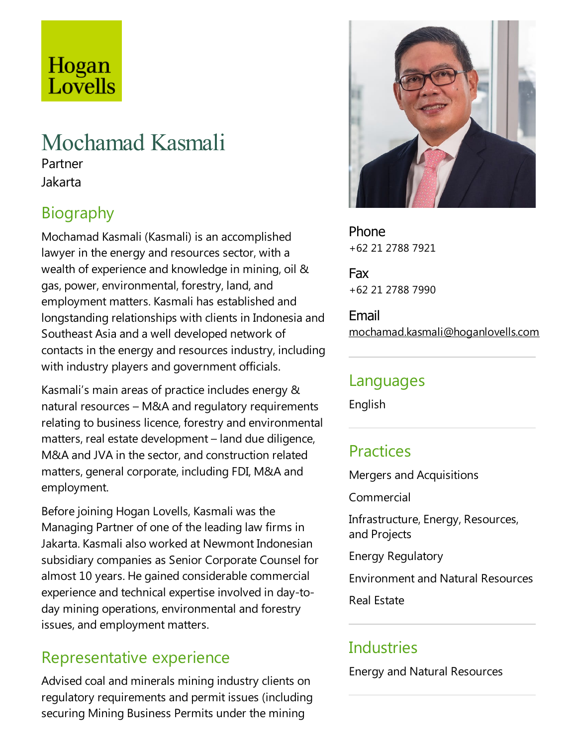# Hogan Lovells

# Mochamad Kasmali

Partner Jakarta

## Biography

Mochamad Kasmali (Kasmali) is an accomplished lawyer in the energy and resources sector, with a wealth of experience and knowledge in mining, oil  $\&$ gas, power, environmental, forestry, land, and employment matters. Kasmali has established and longstanding relationships with clients in Indonesiaand Southeast Asia and a well developed network of contacts in the energy and resources industry, including with industry players and government officials.

Kasmali's main areas of practice includes energy  $\&$ natural resources – M&A and regulatory requirements relating to business licence, forestry and environmental matters, real estate development  $-$  land due diligence, M&A and JVA in the sector, and construction related matters, general corporate, including FDI, M&A and employment.

Before joining Hogan Lovells, Kasmali was the Managing Partner of one of theleading law firms in Jakarta. Kasmali also worked at Newmont Indonesian subsidiary companies as Senior Corporate Counsel for almost 10 years. He gained considerable commercial experience and technical expertise involved in day-today mining operations, environmental and forestry issues, and employment matters.

#### Representative experience

Advised coal and minerals mining industry clients on regulatory requirements and permit issues (including securing Mining Business Permits under the mining



Phone +62 21 2788 7921

Fax +62 21 2788 7990

Email mochamad.kasmali@hoganlovells.com

#### Languages

English

### **Practices**

Mergers and Acquisitions

Commercial

Infrastructure, Energy, Resources, and Projects

Energy Regulatory

Environmentand Natural Resources

Real Estate

### **Industries**

Energy and Natural Resources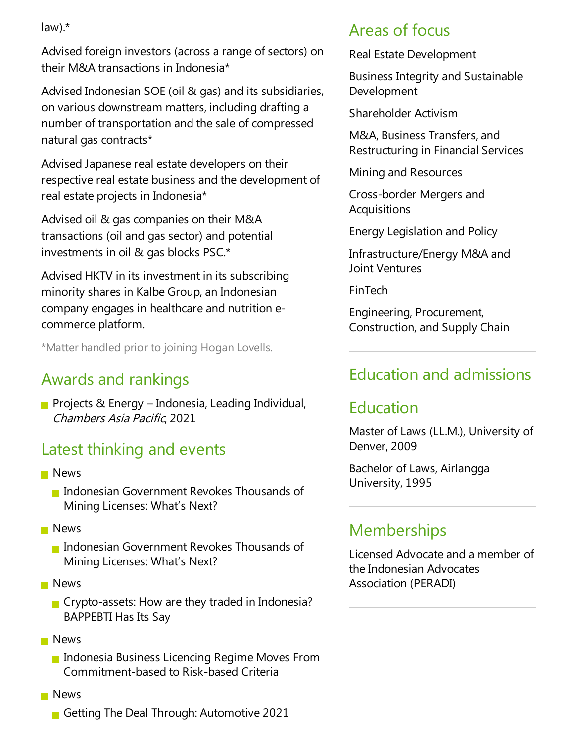law).\*

Advised foreign investors (across arange of sectors) on their M&A transactions in Indonesia\*

Advised Indonesian SOE(oil & gas) and its subsidiaries, on various downstream matters, including drafting a number of transportation and the sale of compressed natural gas contracts\*

Advised Japanese real estate developers on their respective real estate business and the development of real estate projects in Indonesia\*

Advised oil & gas companies on their M&A transactions (oil and gas sector) and potential investments in oil & gas blocks PSC.\*

Advised HKTV in its investment in its subscribing minority shares in Kalbe Group, an Indonesian company engages in healthcare and nutrition ecommerce platform.

\*Matter handled prior to joining Hogan Lovells.

### Awards and rankings

**Projects & Energy – Indonesia, Leading Individual,** Chambers Asia Pacific, 2021

### Latest thinking and events

- **News** 
	- **Indonesian Government Revokes Thousands of** Mining Licenses: What's Next?
- **News** 
	- **Indonesian Government Revokes Thousands of** Mining Licenses: What's Next?
- **News** 
	- $\blacksquare$  Crypto-assets: How are they traded in Indonesia? BAPPEBTI Has Its Say
- **News** 
	- **Indonesia Business Licencing Regime Moves From** Commitment-based to Risk-based Criteria
- **News** 
	- Getting The Deal Through: Automotive 2021

#### Areas of focus

Real Estate Development

Business Integrity and Sustainable Development

Shareholder Activism

M&A, Business Transfers,and Restructuring in Financial Services

Mining and Resources

Cross-border Mergers and **Acquisitions** 

Energy Legislation and Policy

Infrastructure/Energy M&A and Joint Ventures

FinTech

Engineering, Procurement, Construction,and Supply Chain

#### Education and admissions

#### Education

Master of Laws (LL.M.), University of Denver, 2009

Bachelor of Laws, Airlangga University, 1995

### Memberships

Licensed Advocate and a member of the Indonesian Advocates Association (PERADI)